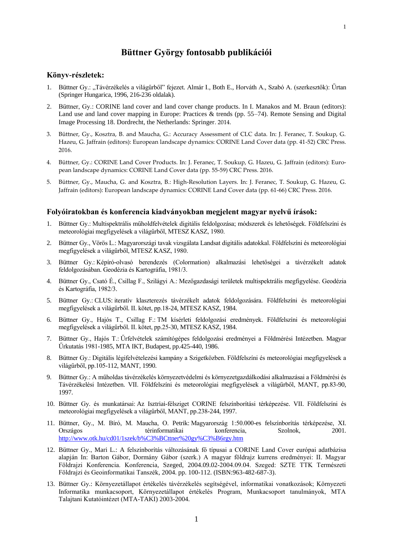### **Könyv-részletek:**

1. Büttner Gy.: "Távérzékelés a világűrből" fejezet. Almár I., Both E., Horváth A., Szabó A. (szerkesztők): Űrtan (Springer Hungarica, 1996, 216-236 oldalak).

**Büttner György fontosabb publikációi**

- 2. Büttner, Gy.: CORINE land cover and land cover change products. In I. Manakos and M. Braun (editors): Land use and land cover mapping in Europe: Practices & trends (pp. 55–74). Remote Sensing and Digital Image Processing 18. Dordrecht, the Netherlands: Springer. 2014.
- 3. Büttner, Gy., Kosztra, B. and Maucha, G.: Accuracy Assessment of CLC data. In: J. Feranec, T. Soukup, G. Hazeu, G. Jaffrain (editors): European landscape dynamics: CORINE Land Cover data (pp. 41-52) CRC Press. 2016.
- 4. Büttner, Gy.: CORINE Land Cover Products. In: J. Feranec, T. Soukup, G. Hazeu, G. Jaffrain (editors): European landscape dynamics: CORINE Land Cover data (pp. 55-59) CRC Press. 2016.
- 5. Büttner, Gy., Maucha, G. and Kosztra, B.: High-Resolution Layers. In: J. Feranec, T. Soukup, G. Hazeu, G. Jaffrain (editors): European landscape dynamics: CORINE Land Cover data (pp. 61-66) CRC Press. 2016.

#### **Folyóiratokban és konferencia kiadványokban megjelent magyar nyelvű írások:**

- 1. Büttner Gy.: Multispektrális műholdfelvételek digitális feldolgozása; módszerek és lehetőségek. Földfelszíni és meteorológiai megfigyelések a világűrből, MTESZ KASZ, 1980.
- 2. Büttner Gy., Vörös L.: Magyarországi tavak vizsgálata Landsat digitális adatokkal. Földfelszíni és meteorológiai megfigyelések a világűrből, MTESZ KASZ, 1980.
- 3. Büttner Gy.: Képíró-olvasó berendezés (Colormation) alkalmazási lehetőségei a távérzékelt adatok feldolgozásában. Geodézia és Kartográfia, 1981/3.
- 4. Büttner Gy., Csató É., Csillag F., Szilágyi A.: Mezőgazdasági területek multispektrális megfigyelése. Geodézia és Kartográfia, 1982/3.
- 5. Büttner Gy.: CLUS: iteratív klaszterezés távérzékelt adatok feldolgozására. Földfelszíni és meteorológiai megfigyelések a világűrből. II. kötet, pp.18-24, MTESZ KASZ, 1984.
- 6. Büttner Gy., Hajós T., Csillag F.: TM kísérleti feldolgozási eredmények. Földfelszíni és meteorológiai megfigyelések a világűrből. II. kötet, pp.25-30, MTESZ KASZ, 1984.
- 7. Büttner Gy., Hajós T.: Űrfelvételek számítógépes feldolgozási eredményei a Földmérési Intézetben. Magyar Űrkutatás 1981-1985, MTA IKT, Budapest, pp.425-440, 1986.
- 8. Büttner Gy.: Digitális légifelvételezési kampány a Szigetközben. Földfelszíni és meteorológiai megfigyelések a világűrből, pp.105-112, MANT, 1990.
- 9. Büttner Gy.: A műholdas távérzékelés környezetvédelmi és környezetgazdálkodási alkalmazásai a Földmérési és Távérzékelési Intézetben. VII. Földfelszíni és meteorológiai megfigyelések a világűrből, MANT, pp.83-90, 1997.
- 10. Büttner Gy. és munkatársai: Az Isztriai-félsziget CORINE felszínborítási térképezése. VII. Földfelszíni és meteorológiai megfigyelések a világűrből, MANT, pp.238-244, 1997.
- 11. Büttner, Gy., M. Bíró, M. Maucha, O. Petrik: Magyarország 1:50.000-es felszínborítás térképezése, XI. Országos térinformatikai konferencia, Szolnok, 2001. <http://www.otk.hu/cd01/1szek/b%C3%BCttner%20gy%C3%B6rgy.htm>
- 12. Büttner Gy., Mari L.: A felszínborítás változásának fő típusai a CORINE Land Cover európai adatbázisa alapján In: Barton Gábor, Dormány Gábor (szerk.) A magyar földrajz kurrens eredményei: II. Magyar Földrajzi Konferencia. Konferencia, Szeged, 2004.09.02-2004.09.04. Szeged: SZTE TTK Természeti Földrajzi és Geoinformatikai Tanszék, 2004. pp. 100-112. (ISBN:963-482-687-3).
- 13. Büttner Gy.: Környezetállapot értékelés távérzékelés segítségével, informatikai vonatkozások; Környezeti Informatika munkacsoport, Környezetállapot értékelés Program, Munkacsoport tanulmányok, MTA Talajtani Kutatóintézet (MTA-TAKI) 2003-2004.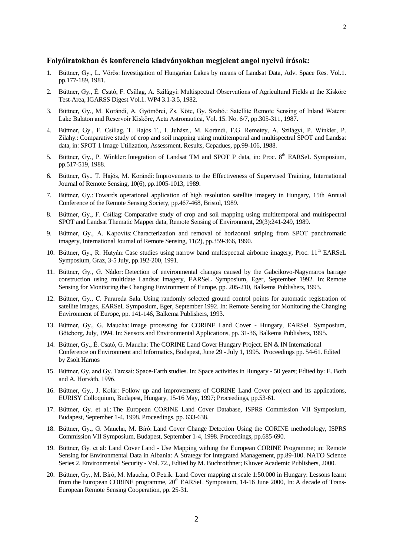# **Folyóiratokban és konferencia kiadványokban megjelent angol nyelvű írások:**

- 1. Büttner, Gy., L. Vörös: Investigation of Hungarian Lakes by means of Landsat Data, Adv. Space Res. Vol.1. pp.177-189, 1981.
- 2. Büttner, Gy., É. Csató, F. Csillag, A. Szilágyi: Multispectral Observations of Agricultural Fields at the Kisköre Test-Area, IGARSS Digest Vol.1. WP4 3.1-3.5, 1982.
- 3. Büttner, Gy., M. Korándi, A. Gyömörei, Zs. Köte, Gy. Szabó.: Satellite Remote Sensing of Inland Waters: Lake Balaton and Reservoir Kisköre, Acta Astronautica, Vol. 15. No. 6/7, pp.305-311, 1987.
- 4. Büttner, Gy., F. Csillag, T. Hajós T., I. Juhász., M. Korándi, F.G. Remetey, A. Szilágyi, P. Winkler, P. Zilahy.: Comparative study of crop and soil mapping using multitemporal and multispectral SPOT and Landsat data, in: SPOT 1 Image Utilization, Assessment, Results, Cepadues, pp.99-106, 1988.
- 5. Büttner, Gy., P. Winkler: Integration of Landsat TM and SPOT P data, in: Proc. 8<sup>th</sup> EARSeL Symposium, pp.517-519, 1988.
- 6. Büttner, Gy., T. Hajós, M. Korándi: Improvements to the Effectiveness of Supervised Training, International Journal of Remote Sensing, 10(6), pp.1005-1013, 1989.
- 7. Büttner, Gy.: Towards operational application of high resolution satellite imagery in Hungary, 15th Annual Conference of the Remote Sensing Society, pp.467-468, Bristol, 1989.
- 8. Büttner, Gy., F. Csillag: Comparative study of crop and soil mapping using multitemporal and multispectral SPOT and Landsat Thematic Mapper data, Remote Sensing of Environment, 29(3):241-249, 1989.
- 9. Büttner, Gy., A. Kapovits: Characterization and removal of horizontal striping from SPOT panchromatic imagery, International Journal of Remote Sensing, 11(2), pp.359-366, 1990.
- 10. Büttner, Gy., R. Hutyán: Case studies using narrow band multispectral airborne imagery, Proc. 11<sup>th</sup> EARSeL Symposium, Graz, 3-5 July, pp.192-200, 1991.
- 11. Büttner, Gy., G. Nádor: Detection of environmental changes caused by the Gabcikovo-Nagymaros barrage construction using multidate Landsat imagery, EARSeL Symposium, Eger, September 1992. In: Remote Sensing for Monitoring the Changing Environment of Europe, pp. 205-210, Balkema Publishers, 1993.
- 12. Büttner, Gy., C. Parareda Sala: Using randomly selected ground control points for automatic registration of satellite images, EARSeL Symposium, Eger, September 1992. In: Remote Sensing for Monitoring the Changing Environment of Europe, pp. 141-146, Balkema Publishers, 1993.
- 13. Büttner, Gy., G. Maucha: Image processing for CORINE Land Cover Hungary, EARSeL Symposium, Göteborg, July, 1994. In: Sensors and Environmental Applications, pp. 31-36, Balkema Publishers, 1995.
- 14. Büttner, Gy., É. Csató, G. Maucha: The CORINE Land Cover Hungary Project. EN & IN International Conference on Environment and Informatics, Budapest, June 29 - July 1, 1995. Proceedings pp. 54-61. Edited by Zsolt Harnos
- 15. Büttner, Gy. and Gy. Tarcsai: Space-Earth studies. In: Space activities in Hungary 50 years; Edited by: E. Both and A. Horváth, 1996.
- 16. Büttner, Gy., J. Kolár: Follow up and improvements of CORINE Land Cover project and its applications, EURISY Colloquium, Budapest, Hungary, 15-16 May, 1997; Proceedings, pp.53-61.
- 17. Büttner, Gy. et al.: The European CORINE Land Cover Database, ISPRS Commission VII Symposium, Budapest, September 1-4, 1998. Proceedings, pp. 633-638.
- 18. Büttner, Gy., G. Maucha, M. Bíró: Land Cover Change Detection Using the CORINE methodology, ISPRS Commission VII Symposium, Budapest, September 1-4, 1998. Proceedings, pp.685-690.
- 19. Büttner, Gy. et al: Land Cover Land Use Mapping withing the European CORINE Programme; in: Remote Sensing for Environmental Data in Albania: A Strategy for Integrated Management, pp.89-100. NATO Science Series 2. Environmental Security - Vol. 72., Edited by M. Buchroithner; Kluwer Academic Publishers, 2000.
- 20. Büttner, Gy., M. Bíró, M. Maucha, O.Petrik: Land Cover mapping at scale 1:50.000 in Hungary: Lessons learnt from the European CORINE programme, 20<sup>th</sup> EARSeL Symposium, 14-16 June 2000, In: A decade of Trans-European Remote Sensing Cooperation, pp. 25-31.